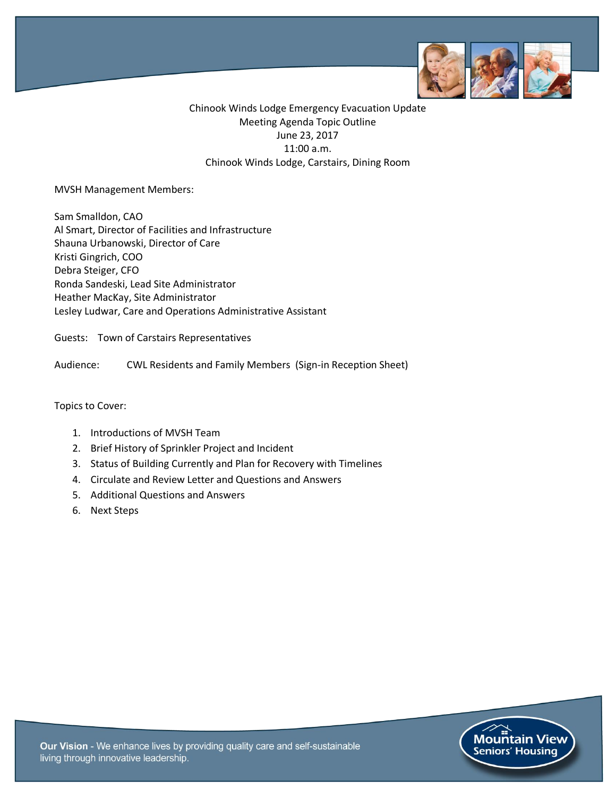

Chinook Winds Lodge Emergency Evacuation Update Meeting Agenda Topic Outline June 23, 2017 11:00 a.m. Chinook Winds Lodge, Carstairs, Dining Room

#### MVSH Management Members:

Sam Smalldon, CAO Al Smart, Director of Facilities and Infrastructure Shauna Urbanowski, Director of Care Kristi Gingrich, COO Debra Steiger, CFO Ronda Sandeski, Lead Site Administrator Heather MacKay, Site Administrator Lesley Ludwar, Care and Operations Administrative Assistant

Guests: Town of Carstairs Representatives

Audience: CWL Residents and Family Members (Sign-in Reception Sheet)

#### Topics to Cover:

- 1. Introductions of MVSH Team
- 2. Brief History of Sprinkler Project and Incident
- 3. Status of Building Currently and Plan for Recovery with Timelines
- 4. Circulate and Review Letter and Questions and Answers
- 5. Additional Questions and Answers
- 6. Next Steps

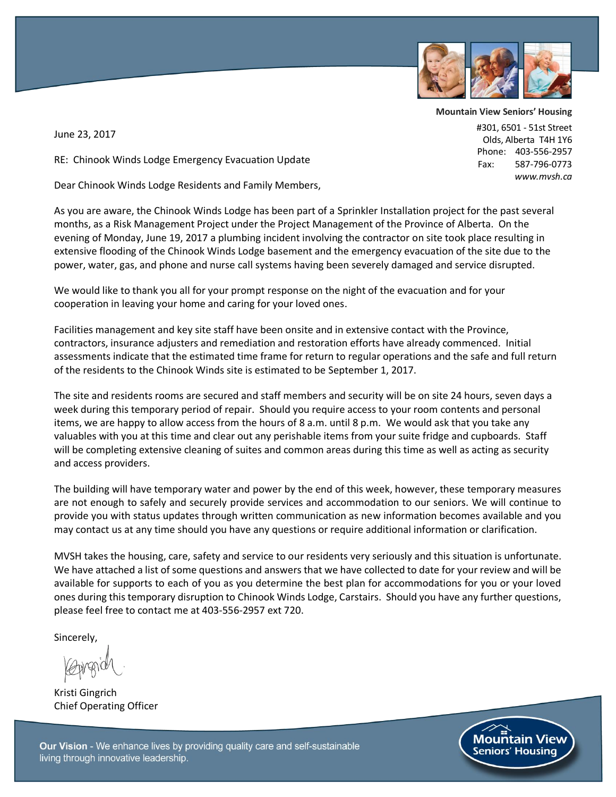

**Mountain View Seniors' Housing**

#301, 6501 - 51st Street Olds, Alberta T4H 1Y6 Phone: 403-556-2957 Fax: 587-796-0773

 *www.mvsh.ca*

June 23, 2017

RE: Chinook Winds Lodge Emergency Evacuation Update

Dear Chinook Winds Lodge Residents and Family Members,

As you are aware, the Chinook Winds Lodge has been part of a Sprinkler Installation project for the past several months, as a Risk Management Project under the Project Management of the Province of Alberta. On the evening of Monday, June 19, 2017 a plumbing incident involving the contractor on site took place resulting in extensive flooding of the Chinook Winds Lodge basement and the emergency evacuation of the site due to the power, water, gas, and phone and nurse call systems having been severely damaged and service disrupted.

We would like to thank you all for your prompt response on the night of the evacuation and for your cooperation in leaving your home and caring for your loved ones.

Facilities management and key site staff have been onsite and in extensive contact with the Province, contractors, insurance adjusters and remediation and restoration efforts have already commenced. Initial assessments indicate that the estimated time frame for return to regular operations and the safe and full return of the residents to the Chinook Winds site is estimated to be September 1, 2017.

The site and residents rooms are secured and staff members and security will be on site 24 hours, seven days a week during this temporary period of repair. Should you require access to your room contents and personal items, we are happy to allow access from the hours of 8 a.m. until 8 p.m. We would ask that you take any valuables with you at this time and clear out any perishable items from your suite fridge and cupboards. Staff will be completing extensive cleaning of suites and common areas during this time as well as acting as security and access providers.

The building will have temporary water and power by the end of this week, however, these temporary measures are not enough to safely and securely provide services and accommodation to our seniors. We will continue to provide you with status updates through written communication as new information becomes available and you may contact us at any time should you have any questions or require additional information or clarification.

MVSH takes the housing, care, safety and service to our residents very seriously and this situation is unfortunate. We have attached a list of some questions and answers that we have collected to date for your review and will be available for supports to each of you as you determine the best plan for accommodations for you or your loved ones during this temporary disruption to Chinook Winds Lodge, Carstairs. Should you have any further questions, please feel free to contact me at 403-556-2957 ext 720.

Sincerely,

Kristi Gingrich Chief Operating Officer

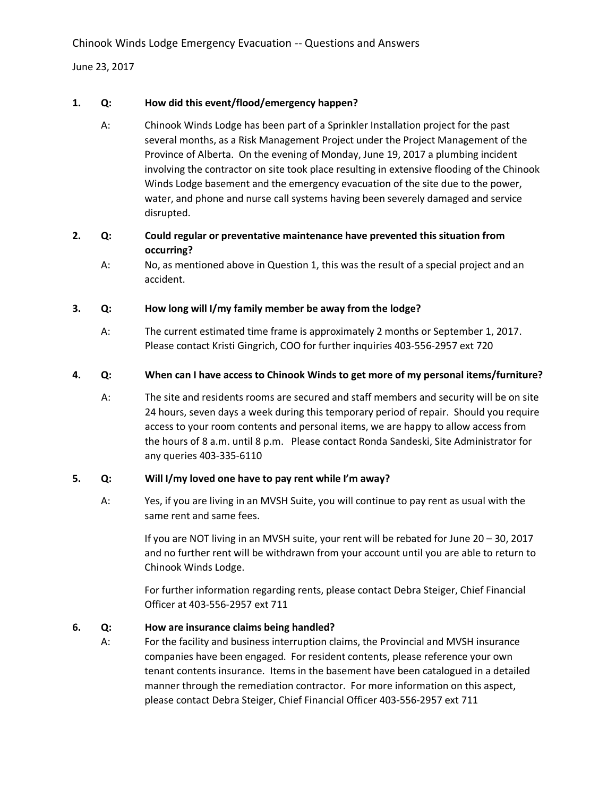Chinook Winds Lodge Emergency Evacuation -- Questions and Answers

June 23, 2017

## **1. Q: How did this event/flood/emergency happen?**

- A: Chinook Winds Lodge has been part of a Sprinkler Installation project for the past several months, as a Risk Management Project under the Project Management of the Province of Alberta. On the evening of Monday, June 19, 2017 a plumbing incident involving the contractor on site took place resulting in extensive flooding of the Chinook Winds Lodge basement and the emergency evacuation of the site due to the power, water, and phone and nurse call systems having been severely damaged and service disrupted.
- **2. Q: Could regular or preventative maintenance have prevented this situation from occurring?**
	- A: No, as mentioned above in Question 1, this was the result of a special project and an accident.

### **3. Q: How long will I/my family member be away from the lodge?**

A: The current estimated time frame is approximately 2 months or September 1, 2017. Please contact Kristi Gingrich, COO for further inquiries 403-556-2957 ext 720

## **4. Q: When can I have access to Chinook Winds to get more of my personal items/furniture?**

A: The site and residents rooms are secured and staff members and security will be on site 24 hours, seven days a week during this temporary period of repair. Should you require access to your room contents and personal items, we are happy to allow access from the hours of 8 a.m. until 8 p.m. Please contact Ronda Sandeski, Site Administrator for any queries 403-335-6110

# **5. Q: Will I/my loved one have to pay rent while I'm away?**

A: Yes, if you are living in an MVSH Suite, you will continue to pay rent as usual with the same rent and same fees.

> If you are NOT living in an MVSH suite, your rent will be rebated for June 20 – 30, 2017 and no further rent will be withdrawn from your account until you are able to return to Chinook Winds Lodge.

For further information regarding rents, please contact Debra Steiger, Chief Financial Officer at 403-556-2957 ext 711

# **6. Q: How are insurance claims being handled?**

A: For the facility and business interruption claims, the Provincial and MVSH insurance companies have been engaged. For resident contents, please reference your own tenant contents insurance. Items in the basement have been catalogued in a detailed manner through the remediation contractor. For more information on this aspect, please contact Debra Steiger, Chief Financial Officer 403-556-2957 ext 711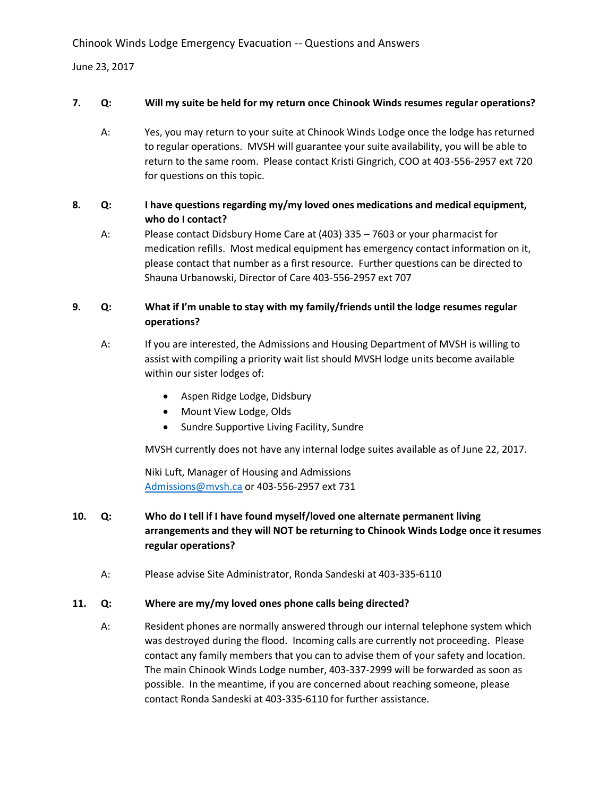Chinook Winds Lodge Emergency Evacuation -- Questions and Answers

June 23, 2017

#### **7. Q: Will my suite be held for my return once Chinook Winds resumes regular operations?**

A: Yes, you may return to your suite at Chinook Winds Lodge once the lodge has returned to regular operations. MVSH will guarantee your suite availability, you will be able to return to the same room. Please contact Kristi Gingrich, COO at 403-556-2957 ext 720 for questions on this topic.

### **8. Q: I have questions regarding my/my loved ones medications and medical equipment, who do I contact?**

A: Please contact Didsbury Home Care at (403) 335 – 7603 or your pharmacist for medication refills. Most medical equipment has emergency contact information on it, please contact that number as a first resource. Further questions can be directed to Shauna Urbanowski, Director of Care 403-556-2957 ext 707

## **9. Q: What if I'm unable to stay with my family/friends until the lodge resumes regular operations?**

- A: If you are interested, the Admissions and Housing Department of MVSH is willing to assist with compiling a priority wait list should MVSH lodge units become available within our sister lodges of:
	- Aspen Ridge Lodge, Didsbury
	- Mount View Lodge, Olds
	- Sundre Supportive Living Facility, Sundre

MVSH currently does not have any internal lodge suites available as of June 22, 2017.

Niki Luft, Manager of Housing and Admissions [Admissions@mvsh.ca](mailto:Admissions@mvsh.ca) or 403-556-2957 ext 731

- **10. Q: Who do I tell if I have found myself/loved one alternate permanent living arrangements and they will NOT be returning to Chinook Winds Lodge once it resumes regular operations?**
	- A: Please advise Site Administrator, Ronda Sandeski at 403-335-6110

### **11. Q: Where are my/my loved ones phone calls being directed?**

A: Resident phones are normally answered through our internal telephone system which was destroyed during the flood. Incoming calls are currently not proceeding. Please contact any family members that you can to advise them of your safety and location. The main Chinook Winds Lodge number, 403-337-2999 will be forwarded as soon as possible. In the meantime, if you are concerned about reaching someone, please contact Ronda Sandeski at 403-335-6110 for further assistance.